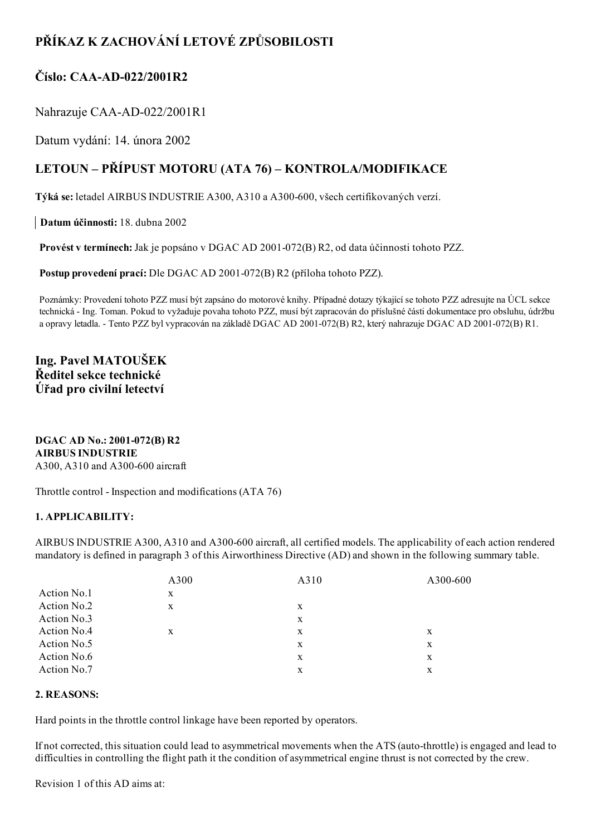# PŘÍKAZ K ZACHOVÁNÍ LETOVÉ ZPŮSOBILOSTI

# Číslo:  $CAA-AD-022/2001R2$

# Nahrazuje CAA-AD-022/2001R1

Datum vydání: 14. února 2002

# LETOUN – PŘÍPUST MOTORU (ATA 76) – KONTROLA/MODIFIKACE

Týká se: letadel AIRBUS INDUSTRIE A300, A310 a A300-600, všech certifikovaných verzí.

Datum účinnosti: 18. dubna 2002

Provést v termínech: Jak je popsáno v DGAC AD 2001-072(B) R2, od data účinnosti tohoto PZZ.

Postup provedení prací: Dle DGAC AD 2001-072(B) R2 (příloha tohoto PZZ).

Poznámky: Provedení tohoto PZZ musí být zapsáno do motorové knihy. Případné dotazy týkající se tohoto PZZ adresujte na ÚCL sekce technická Ing. Toman. Pokud to vyžaduje povaha tohoto PZZ, musí být zapracován do příslušné části dokumentace pro obsluhu, údržbu a opravy letadla. - Tento PZZ byl vypracován na základě DGAC AD 2001-072(B) R2, který nahrazuje DGAC AD 2001-072(B) R1.

# Ing. Pavel MATOUŠEK Ředitel sekce technické Úřad pro civilní letectví

DGAC AD No.: 2001-072(B) R2 AIRBUS INDUSTRIE A300, A310 and A300-600 aircraft

Throttle control - Inspection and modifications (ATA 76)

## 1. APPLICABILITY:

AIRBUS INDUSTRIE A300, A310 and A300-600 aircraft, all certified models. The applicability of each action rendered mandatory is defined in paragraph 3 of this Airworthiness Directive (AD) and shown in the following summary table.

|             | A300 | A310 | A300-600 |
|-------------|------|------|----------|
| Action No.1 | X    |      |          |
| Action No.2 | X    | X    |          |
| Action No.3 |      | X    |          |
| Action No.4 | X    | X    | X        |
| Action No.5 |      | X    | X        |
| Action No.6 |      | X    | X        |
| Action No.7 |      | X    | X        |
|             |      |      |          |

### 2. REASONS:

Hard points in the throttle control linkage have been reported by operators.

If not corrected, this situation could lead to asymmetrical movements when the ATS (auto-throttle) is engaged and lead to difficulties in controlling the flight path it the condition of asymmetrical engine thrust is not corrected by the crew.

Revision 1 of this AD aims at: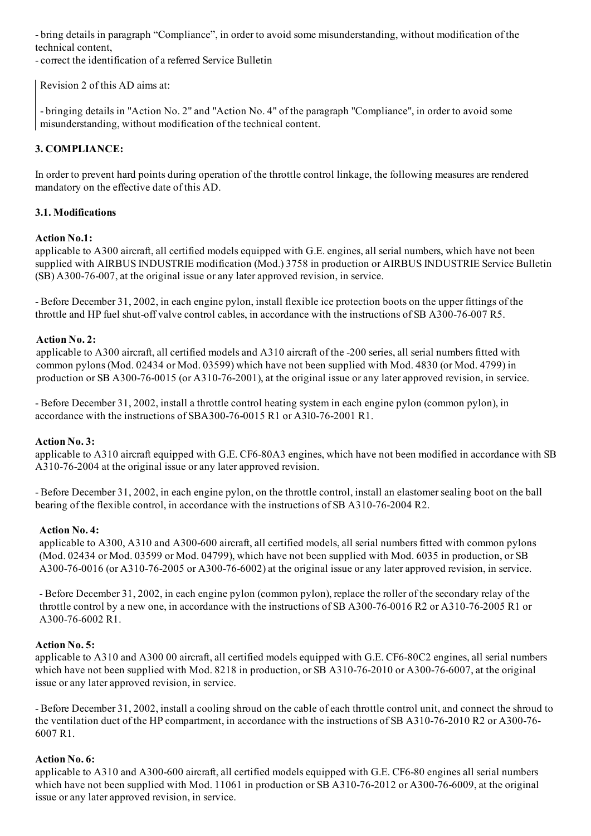bring details in paragraph "Compliance", in order to avoid some misunderstanding, without modification of the technical content,

correct the identification of a referred Service Bulletin

Revision 2 of this AD aims at:

 bringing details in "Action No. 2" and "Action No. 4" of the paragraph "Compliance", in order to avoid some misunderstanding, without modification of the technical content.

## 3. COMPLIANCE:

In order to prevent hard points during operation of the throttle control linkage, the following measures are rendered mandatory on the effective date of this AD.

### 3.1. Modifications

### Action No.1:

applicable to A300 aircraft, all certified models equipped with G.E. engines, all serial numbers, which have not been supplied with AIRBUS INDUSTRIE modification (Mod.) 3758 in production or AIRBUS INDUSTRIE Service Bulletin  $(SB)$  A300-76-007, at the original issue or any later approved revision, in service.

 Before December 31, 2002, in each engine pylon, install flexible ice protection boots on the upper fittings of the throttle and HP fuel shut-off valve control cables, in accordance with the instructions of SB A300-76-007 R5.

### Action No. 2:

applicable to A300 aircraft, all certified models and A310 aircraft of the 200 series, all serial numbers fitted with common pylons (Mod. 02434 or Mod. 03599) which have not been supplied with Mod. 4830 (or Mod. 4799) in production or SB A300-76-0015 (or A310-76-2001), at the original issue or any later approved revision, in service.

 Before December 31, 2002, install a throttle control heating system in each engine pylon (common pylon), in accordance with the instructions of SBA300-76-0015 R1 or A3l0-76-2001 R1.

#### Action No. 3:

applicable to A310 aircraft equipped with G.E. CF6-80A3 engines, which have not been modified in accordance with SB A310-76-2004 at the original issue or any later approved revision.

Before December 31, 2002, in each engine pylon, on the throttle control, install an elastomer sealing boot on the ball bearing of the flexible control, in accordance with the instructions of SB A310-76-2004 R2.

#### Action No. 4:

applicable to A300, A310 and A300-600 aircraft, all certified models, all serial numbers fitted with common pylons (Mod. 02434 or Mod. 03599 or Mod. 04799), which have not been supplied with Mod. 6035 in production, or SB  $A300-76-0016$  (or  $A310-76-2005$  or  $A300-76-6002$ ) at the original issue or any later approved revision, in service.

 Before December 31, 2002, in each engine pylon (common pylon), replace the roller of the secondary relay of the throttle control by a new one, in accordance with the instructions of SB A300-76-0016 R2 or A310-76-2005 R1 or  $A300-76-6002$  R1.

#### Action No. 5:

applicable to A310 and A300 00 aircraft, all certified models equipped with G.E. CF680C2 engines, all serial numbers which have not been supplied with Mod. 8218 in production, or SB A310-76-2010 or A300-76-6007, at the original issue or any later approved revision, in service.

 Before December 31, 2002, install a cooling shroud on the cable of each throttle control unit, and connect the shroud to the ventilation duct of the HP compartment, in accordance with the instructions of SB A310-76-2010 R2 or A300-76-6007 R1.

### Action No. 6:

applicable to A310 and A300-600 aircraft, all certified models equipped with G.E. CF6-80 engines all serial numbers which have not been supplied with Mod. 11061 in production or SB  $A310-76-2012$  or  $A300-76-6009$ , at the original issue or any later approved revision, in service.